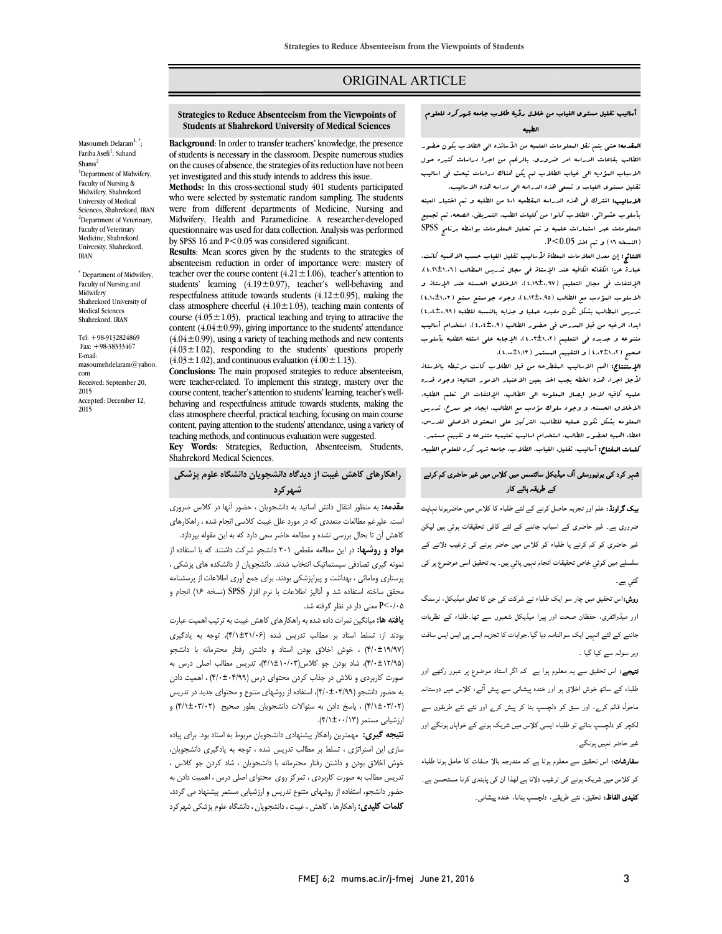# ORIGINAL ARTICLE

### أسالیب تقلیل مستوي الغیاب من خلال رؤیۀ طلاب جامعه شهرکرد للعلوم الطبیه

Ī  $\overline{a}$ 

**البقدمه:** حتی یتم نقل البعلومات العلمیه من الأساتذه الی الطلاب یکون حضور<br>سالم الاسباب المؤدیه الی غیاب الطلاب لم یکن هناك دراسات تبحث فی اسالیب تقلیل مستوي الغیاب و تسعی هذه الدراسه الی دراسه هذه الاسالیب. الاسالیب: اشترك فی هذه الدراسه المقطعیه 401 من الطلبه و تم اختیار العینه الطالب بقاعات الدراسه امر ضروري. بالرغم من اجرا دراسات کثیره حول

 بأسلوب عشوائی، الطلاب کانوا من کلیات الطب، التمریض، الصحه. تم تجمیع المعلومات عبر استمارات علمیه و تم تحلیل المعلومات بواسطه برنامج SPSS (النسخه 16) و تم اخذ 0.05>P.

ا النسمه ١١١ و ـم اهد (٦٠١.٧ ـ .<br>**النتائج:** إن معدل العلامات المعطاة لأسالیب تقلیل الغیاب حسب الاهمیه کانت. عبادی بن عبارة عبارة الکتاب الکتاب عبارت الکتاب عبارت المسائل (4,21±1,06)،<br>عبارة عن: الکفائه الکافیه عند الإستاذ فی مجال تدریس العطالب (4,1±1,1)، الإلتفات فی مجال التعلیم (4,19±0,97)، الاخلاق الحسنه عند الإستاذ و الاسلوب المؤدب مع الطالب (4,12±0,95)، وجود جوممتع ممتع (4,10±1,03) تدریس المطالب بشکل تکون مفیده عملیا و جذابه بالنسبه للطلبه (4,04±0,99) ابداء الرغبه من قبل المدرس فی حضور الطالب (4,04±0,9)، استخدام أسالیب صبوعه و جدیده می التقییم (۱٬۰۱۰±۱٬۰۱۰)، الإجابه :<br>صمیر (۱٬۰۲±۱٬۰۲) و التقییم المستمر (۱٬۱۲±۲٬۰۰۰). متنوعه و جدیده فی التعلیم (4,03±1,02)، الإجابه علی اسئله الطلبه بأسلوب

العصبيح<br>**الإستنتاج:** اهم الاسالیب ال**مقطرحه من قبل الطلاب کانت مرتبطه بالاست**اذ لأجل اجراء هذه الخطه یجب اخذ بعین الاعتبار الامور التالیه: وجود قدره علمیه کافیه لاجل ایصال المعلومه الی الطالب، الإلتفات الی تعلم الطلبه، الاخلاق الحسنه، و وجود سلوك مؤدب مع الطالب، ایجاد جو ممرح، تدریس المعلومه بشکل تکون عملیه للطالب، الترکیز علی المحتوي الاصلی للدرس، اعطاء اهبیه لحضور الطالب، استخدام اسالیب تعلیمیه متنوعه و تقییم مستمر.<br>ممدور به مقدم شده به مستقدم بینویس به این **کلمات المفتاح:** أسالیب، تقلیل، الغیاب، الطلاب، جامعه ش*هر ک*رد للعلوم الطبیه.<br>.

## شہر کرد کی یونیورسٹی آف میڈیکل سائنسس میں کلاس میں غیر حاضری کم کرنے کے طریقہ ہائے کار

**بیک گراونڈ:** علم اور تجربہ حاصل کرنے کے لئے طلباء کا کلاس میں حاضرہونا نہایت ۔<br>ضروری ہے۔ غیر حاضری کے اسباب جاننے کے لئے کافی تحقیقات ہوئي ٻیں لیکن ۔<br>غیر حاضری کو کم کرنے یا طلباء کو کلاس میں حاضر ہونے کی ترغیب دلانے کے Ī سلسلے میں کوئي خاص تحقيقات انجام نہيں پائي ہيں۔ يہ تحقيق اسى موضوع پر کی<br>. گئی ہے۔

**روش:**اس تحقیق میں چار سو ایک طلباء نے شرکت کی جن کا تعلق میڈیکل، نرسنگ<br>. اور میڈوائفری، حفظان صحت اور پیرا میڈیکل شعبوں سے تھا۔طلباء کے نظریات جاننے کے لئے انہیں ایک سوالنامہ دیا گیا۔جوابات کا تجزیہ ایس پی ایس ایس سافٹ ویر سولہ سے کیا گیا ۔

۔<br>**نتیجے:** اس تحقیق سے یہ معلوم ہوا ہے کہ اگر استاد موضوع پر عبور رکھے اور ۔<br>طلباء کے ساتھ خوش اخلاق ہو اور خندہ پیشان<sub>ی</sub> سے پیش آئے، کلاس میں دوستانہ ۔<br>ماحول قائم کرے، اور سبق کو دلچسپ بنا کر پیش کرے اور نئے نئے طریقوں سے Ĭ لکچر کو دلچسپ بنائے تو طلباء ایسی کلاس میں شریک ہونے کے خواہاں ہونگے اور<br>۔ غیر حاضر نہیں ہونگے۔

**سفارشات:** اس تحقیق سے معلوم ہوتا ہے کہ مندرجہ بالا صفات کا حامل ہونا طلباء کو کلاس میں شریک ہونے کی ترغیب دلاتا ہے لھذا ان کی پابندی کرنا مستحسن ہے۔ **کلیدی الفاظ:** تحقیق، نئے طریقے، دلچسپ بنانا، خندہ پیشانی<sub>-</sub>

 **Strategies to Reduce Absenteeism from the Viewpoints of Students at Shahrekord University of Medical Sciences**

Ī  $\overline{a}$ 

 **Background**: In order to transfer teachers' knowledge, the presence of students is necessary in the classroom. Despite numerous studies on the causes of absence, the strategies of its reduction have not been yet investigated and this study intends to address this issue.

 **Methods:** In this cross-sectional study 401 students participated who were selected by systematic random sampling. The students Midwifery, Health and Paramedicine. A researcher-developed questionnaire was used for data collection. Analysis was performed were from different departments of Medicine, Nursing and by SPSS 16 and  $P < 0.05$  was considered significant.

 **Results**: Mean scores given by the students to the strategies of absenteeism reduction in order of importance were: mastery of students' learning  $(4.19 \pm 0.97)$ , teacher's well-behaving and respectfulness attitude towards students  $(4.12 \pm 0.95)$ , making the class atmosphere enterial  $(4.10 \pm 1.03)$ , determing main contents of course  $(4.05 \pm 1.03)$ , practical teaching and trying to attractive the content (4.04±0.99), giving importance to the students' attendance  $(4.04 \pm 0.99)$ , using a variety of teaching incurous and new contents  $(4.03 \pm 1.02)$ , responding to the students' questions properly  $(4.03 \pm 1.02)$ , and continuous evaluation  $(4.00 \pm 1.13)$ . teacher over the course content  $(4.21 \pm 1.06)$ , teacher's attention to class atmosphere cheerful  $(4.10 \pm 1.03)$ , teaching main contents of  $(4.04\pm0.99)$ , using a variety of teaching methods and new contents

 were teacher-related. To implement this strategy, mastery over the course content, teacher's attention to students' learning, teacher's wellpenaving and respecuumess attitude towards students, making the<br>class atmosphere cheerful, practical teaching, focusing on main course content, paying attention to the students' attendance, using a variety of **Conclusions:** The main proposed strategies to reduce absenteeism, behaving and respectfulness attitude towards students, making the teaching methods, and continuous evaluation were suggested.

 **Key Words:** Strategies, Reduction, Absenteeism, Students, Shahrekord Medical Sciences.

## **راهکارهاي کاهش غیبت از دیدگاه دانشجویان دانشگاه علوم پزشکی شهرکرد**

<sub>ط</sub> لئے طلباء کا کلاس میں حاضربونا نہایت ہ**مقدمه:** به منظور انتقال دانش اساتید به دانشجویان ، حضور آنها در کلاس ضروری است. علیرغم مطالعات متعددي که در مورد علل غیبت کلاسی انجام شده ، راهکارهاي

 کاهش آن تا بحال بررسی نشده و مطالعه حاضر سعی دارد که به این مقوله بپردازد. **مواد و روشها:** در این مطالعه مقطعی 401 دانشجو شرکت داشتند که با استفاده از نمونه گیري تصادفی سیستماتیک انتخاب شدند. دانشجویان از دانشکده هاي پزشکی ، پر کرت کی تبعی کریترپرد تی ترکیب در تصدیح کرد.<br>محقق ساخته استفاده شد و آنالیز اطلاعات با نرم افزار SPSS (نسخه ۱۶) انجام و 0/05>P معنی دار در نظر گرفته شد. پرستاري ومامائی ، بهداشت و پیراپزشکی بودند. براي جمع آوري اطلاعات از پرسشنامه

 **یافته ها:** میانگین نمرات داده شده به راهکارهاي کاهش غیبت به ترتیب اهمیت عبارت بودند از: تسلط استاد بر مطالب تدریس شده (4/1±21/06)، توجه به یادگیري (4/0±19/97) ، خوش اخلاق بودن استاد و داشتن رفتار محترمانه با دانشجو (4/0±12/95)، شاد بودن جو کلاس(4/1±10/03)، تدریس مطالب اصلی درس به صورت کاربردي و تلاش در جذاب کردن محتواي درس (4/0±04/99) ، اهمیت دادن به عصور عاسدبو (۱٬۰۰۰ – ۱٬۰۰۰)، استعداد از روسهای مسوع و ماحوری جدید در صریص<br>(۴/۱±۰۳/۰۲) ، پاسخ دادن به سئوالات دانشجویان بطور صحیح (۴/۱±۰۳/۰۲) و ,<br>ارزشیابی مستمر (۴/۱±۰۰/۱۳). به حضور دانشجو (4/0±04/99)، استفاده از روشهاي متنوع و محتواي جدید در تدریس

 **نتیجه گیري:** مهمترین راهکار پیشنهادي دانشجویان مربوط به استاد بود. براي پیاده سازي این استراتژي ، تسلط بر مطالب تدریس شده ، توجه به یادگیري دانشجویان، خوش اخلاق بودن و داشتن رفتار محترمانه با دانشجویان ، شاد کردن جو کلاس ، تدریس مطالب به صورت کاربردي ، تمرکز روي محتواي اصلی درس ، اهمیت دادن به حضور دانشجو، استفاده از روشهاي متنوع تدریس و ارزشیابی مستمر پیشنهاد می گردد**. کلمات کلیدي:** راهکارها ، کاهش ، غیبت ، دانشجویان ، دانشگاه علوم پزشکی شهرکرد

Masoumeh Delaram $1,$ \*; Fariba Asefi<sup>1</sup>; Sahand Shams<sup>2</sup> <sup>1</sup>Department of Midwifery, Faculty of Nursing & Midwifery, Shahrekord University of Medical Sciences, Shahrekord, IRAN <sup>2</sup>Department of Veterinary, Faculty of Veterinary Medicine, Shahrekord University, Shahrekord, IRAN

\* Department of Midwifery, Faculty of Nursing and **Midwifery** Shahrekord University of Medical Sciences Shahrekord, IRAN

Tel: +98-9132824869 Fax: +98-38333467 E-mail: masoumehdelaram@yahoo. com Received: September 20, 2015 Accepted: December 12, 2015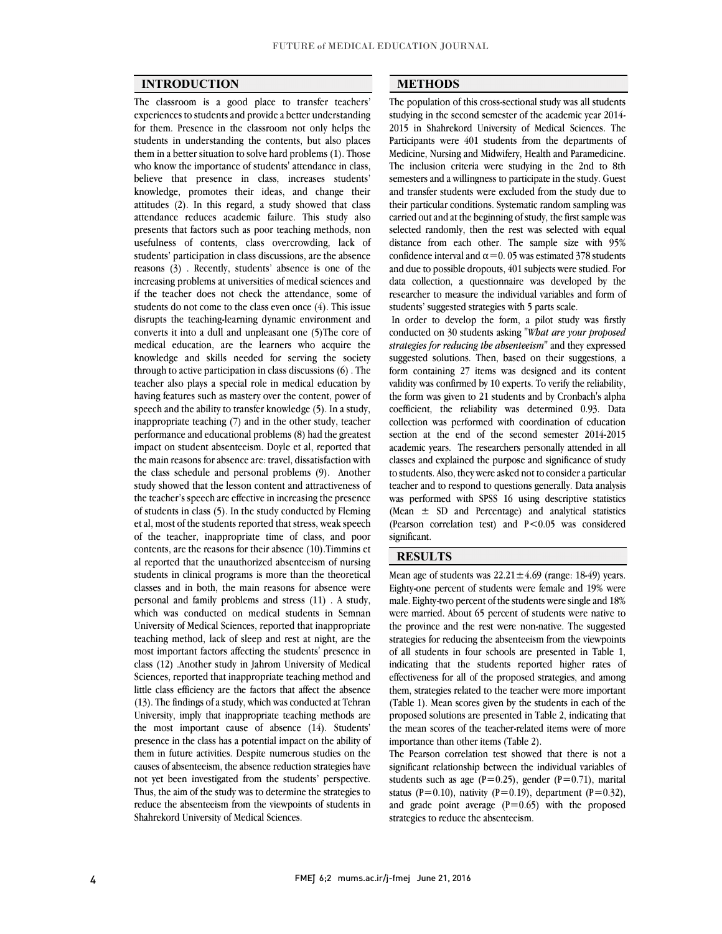$\overline{a}$  $\overline{a}$ 

## **INTRODUCTION**

 The classroom is a good place to transfer teachers' experiences to students and provide a better understanding students in understanding the contents, but also places them in a better situation to solve hard problems  $(1)$ . Those who know the importance of students' attendance in class, believe that presence in class, increases students' attitudes (2). In this regard, a study showed that class attendance reduces academic failure. This study also presents that factors such as poor teaching methods, non usefulness of contents, class overcrowding, lack of reasons (3) . Recently, students' absence is one of the increasing problems at universities of medical sciences and if the teacher does not check the attendance, some of students do not come to the class even once  $(4)$ . This issue<br>disrupts the teaching-learning dynamic environment and converts it into a dull and unpleasant one (5)The core of medical education, are the learners who acquire the knowledge and skills needed for serving the society through to active participation in class discussions (o). The<br>teacher also plays a special role in medical education by having features such as mastery over the content, power of speech and the ability to transfer knowledge (5). In a study, inappropriate teaching (7) and in the other study, teacher impact on student absenteeism. Doyle et al, reported that the main reasons for absence are: travel, dissatisfaction with the class schedule and personal problems (9). Another study showed that the lesson content and attractiveness of of students in class (5). In the study conducted by Fleming et al, most of the students reported that stress, weak speech of the teacher, inappropriate time of class, and poor contents, are the reasons for their absence (10).Timmins et students in clinical programs is more than the theoretical classes and in both, the main reasons for absence were personal and family problems and stress (11) . A study, which was conducted on inequear students in semilian<br>University of Medical Sciences, reported that inappropriate teaching method, lack of sleep and rest at night, are the most important factors affecting the students' presence in class (12) .Another study in Jahrom University of Medical little class efficiency are the factors that affect the absence (13). The findings of a study, which was conducted at Tehran University, imply that inappropriate teaching methods are the most important cause of absence (14). Students' presence in the class has a potential impact on the ability of them in future activities. Despite numerous studies on the causes of absenteeism, the absence reduction strategies have not yet been investigated from the students' perspective. Thus, the aim of the study was to determine the strategies to reduce the absenteeism from the viewpoints of students in<br>Shahrekord University of Medical Sciences for them. Presence in the classroom not only helps the knowledge, promotes their ideas, and change their students' participation in class discussions, are the absence students do not come to the class even once (4). This issue through to active participation in class discussions (6) . The performance and educational problems (8) had the greatest the teacher's speech are effective in increasing the presence al reported that the unauthorized absenteeism of nursing which was conducted on medical students in Semnan Sciences, reported that inappropriate teaching method and presence in the class has a potential impact on the ability of Shahrekord University of Medical Sciences.

## **METHODS**

 The population of this cross-sectional study was all students studying in the second semester of the academic year 2014- Participants were 401 students from the departments of Medicine, Nursing and Midwifery, Health and Paramedicine. The inclusion criteria were studying in the 2nd to 8th semesters and a willingness to participate in the study. Guest their particular conditions. Systematic random sampling was carried out and at the beginning of study, the first sample was selected randomly, then the rest was selected with equal distance from each other. The sample size with 55% confidence interval and  $\alpha$  = 0.05 was estimated 378 students and due to possible dropouts, 401 subjects were studied. For data collection, a questionnaire was developed by the researcher to measure the individual variables and form of 2015 in Shahrekord University of Medical Sciences. The and transfer students were excluded from the study due to distance from each other. The sample size with 95% students' suggested strategies with 5 parts scale.

 $\overline{\phantom{0}}$ 

In order to develop the form, a pilot study was firstly conducted on 30 students asking "*What are your proposed strategies for reducing the absenteeism*" and they expressed suggested solutions. Then, based on their suggestions, a validity was confirmed by 10 experts. To verify the reliability, the form was given to 21 students and by Cronbach's alpha coefficient, the reliability was determined 0.93. Data collection was performed with coordination of education academic years. The researchers personally attended in all classes and explained the purpose and significance of study to students. Also, they were asked not to consider a particular teacher and to respond to questions generally. Data analysis  $\frac{1}{2}$  (Mean  $\pm$  SD and Percentage) and analytical statistics (Pearson correlation test) and P<0.05 was considered form containing 27 items was designed and its content section at the end of the second semester 2014-2015 was performed with SPSS 16 using descriptive statistics significant.

#### **RESULTS**

Mean age of students was  $22.21 \pm 4.69$  (range: 18-49) years. Eighty-one percent of students were female and 19% were male. Eighty-two percent of the students were single and 18% were married. About 0. percent or students were native to<br>the province and the rest were non-native. The suggested strategies for reducing the absenteeism from the viewpoints of all students in four schools are presented in Table 1, indicating that the students reported higher rates of them, strategies related to the teacher were more important (Table 1). Mean scores given by the students in each of the proposed solutions are presented in Table 2, indicating that the mean scores of the teacher-related items were of more were married. About 65 percent of students were native to effectiveness for all of the proposed strategies, and among importance than other items (Table 2).

The Pearson correlation test showed that there is not a significant relationship between the individual variables of students such as age (P=0.25), gender (P=0.71), marital status (P=0.10), nativity (P=0.19), department (P=0.32), and grade point average  $(P=0.65)$  with the proposed strategies to reduce the absenteeism strategies to reduce the absenteeism.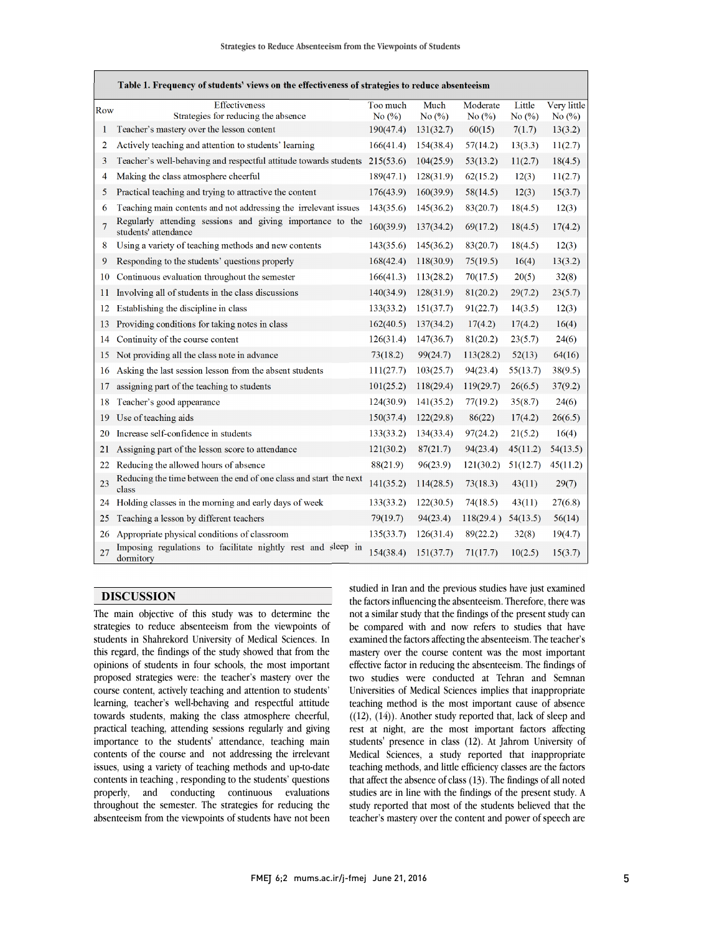1

|     | Table 1. Frequency of students' views on the effectiveness of strategies to reduce absenteeism |                       |                   |                       |                     |                          |  |
|-----|------------------------------------------------------------------------------------------------|-----------------------|-------------------|-----------------------|---------------------|--------------------------|--|
| Row | Effectiveness<br>Strategies for reducing the absence                                           | Too much<br>No $(\%)$ | Much<br>No $(\%)$ | Moderate<br>No $(\%)$ | Little<br>No $(\%)$ | Very little<br>No $(\%)$ |  |
| 1   | Teacher's mastery over the lesson content                                                      | 190(47.4)             | 131(32.7)         | 60(15)                | 7(1.7)              | 13(3.2)                  |  |
| 2   | Actively teaching and attention to students' learning                                          | 166(41.4)             | 154(38.4)         | 57(14.2)              | 13(3.3)             | 11(2.7)                  |  |
| 3   | Teacher's well-behaving and respectful attitude towards students                               | 215(53.6)             | 104(25.9)         | 53(13.2)              | 11(2.7)             | 18(4.5)                  |  |
| 4   | Making the class atmosphere cheerful                                                           | 189(47.1)             | 128(31.9)         | 62(15.2)              | 12(3)               | 11(2.7)                  |  |
| 5   | Practical teaching and trying to attractive the content                                        | 176(43.9)             | 160(39.9)         | 58(14.5)              | 12(3)               | 15(3.7)                  |  |
| 6   | Teaching main contents and not addressing the irrelevant issues                                | 143(35.6)             | 145(36.2)         | 83(20.7)              | 18(4.5)             | 12(3)                    |  |
| 7   | Regularly attending sessions and giving importance to the<br>students' attendance              | 160(39.9)             | 137(34.2)         | 69(17.2)              | 18(4.5)             | 17(4.2)                  |  |
| 8   | Using a variety of teaching methods and new contents                                           | 143(35.6)             | 145(36.2)         | 83(20.7)              | 18(4.5)             | 12(3)                    |  |
| 9   | Responding to the students' questions properly                                                 | 168(42.4)             | 118(30.9)         | 75(19.5)              | 16(4)               | 13(3.2)                  |  |
| 10  | Continuous evaluation throughout the semester                                                  | 166(41.3)             | 113(28.2)         | 70(17.5)              | 20(5)               | 32(8)                    |  |
| 11  | Involving all of students in the class discussions                                             | 140(34.9)             | 128(31.9)         | 81(20.2)              | 29(7.2)             | 23(5.7)                  |  |
| 12  | Establishing the discipline in class                                                           | 133(33.2)             | 151(37.7)         | 91(22.7)              | 14(3.5)             | 12(3)                    |  |
| 13  | Providing conditions for taking notes in class                                                 | 162(40.5)             | 137(34.2)         | 17(4.2)               | 17(4.2)             | 16(4)                    |  |
| 14  | Continuity of the course content                                                               | 126(31.4)             | 147(36.7)         | 81(20.2)              | 23(5.7)             | 24(6)                    |  |
| 15  | Not providing all the class note in advance                                                    | 73(18.2)              | 99(24.7)          | 113(28.2)             | 52(13)              | 64(16)                   |  |
| 16  | Asking the last session lesson from the absent students                                        | 111(27.7)             | 103(25.7)         | 94(23.4)              | 55(13.7)            | 38(9.5)                  |  |
| 17  | assigning part of the teaching to students                                                     | 101(25.2)             | 118(29.4)         | 119(29.7)             | 26(6.5)             | 37(9.2)                  |  |
| 18  | Teacher's good appearance                                                                      | 124(30.9)             | 141(35.2)         | 77(19.2)              | 35(8.7)             | 24(6)                    |  |
| 19  | Use of teaching aids                                                                           | 150(37.4)             | 122(29.8)         | 86(22)                | 17(4.2)             | 26(6.5)                  |  |
| 20  | Increase self-confidence in students                                                           | 133(33.2)             | 134(33.4)         | 97(24.2)              | 21(5.2)             | 16(4)                    |  |
| 21  | Assigning part of the lesson score to attendance                                               | 121(30.2)             | 87(21.7)          | 94(23.4)              | 45(11.2)            | 54(13.5)                 |  |
| 22  | Reducing the allowed hours of absence                                                          | 88(21.9)              | 96(23.9)          | 121(30.2)             | 51(12.7)            | 45(11.2)                 |  |
| 23  | Reducing the time between the end of one class and start the next<br>class                     | 141(35.2)             | 114(28.5)         | 73(18.3)              | 43(11)              | 29(7)                    |  |
| 24  | Holding classes in the morning and early days of week                                          | 133(33.2)             | 122(30.5)         | 74(18.5)              | 43(11)              | 27(6.8)                  |  |
| 25  | Teaching a lesson by different teachers                                                        | 79(19.7)              | 94(23.4)          | 118(29.4)             | 54(13.5)            | 56(14)                   |  |
| 26  | Appropriate physical conditions of classroom                                                   | 135(33.7)             | 126(31.4)         | 89(22.2)              | 32(8)               | 19(4.7)                  |  |
| 27  | Imposing regulations to facilitate nightly rest and sleep in<br>dormitory                      | 154(38.4)             | 151(37.7)         | 71(17.7)              | 10(2.5)             | 15(3.7)                  |  |

 $\overline{a}$  $\overline{a}$ 

## **DISCUSSION**

 The main objective of this study was to determine the students in Shahrekord University of Medical Sciences. In this regard, the findings of the study showed that from the opinions of students in four schools, the most important proposed strategies were: the teacher's mastery over the learning, teacher's well-behaving and respectful attitude towards students, making the class atmosphere cheerful, practical teaching, attending sessions regularly and giving contents of the course and not addressing the irrelevant issues, using a variety of teaching methods and up-to-date contents in teaching , responding to the students' questions properly, and conducting continuous evaluations absenteeism from the viewpoints of students have not been strategies to reduce absenteeism from the viewpoints of course content, actively teaching and attention to students' importance to the students' attendance, teaching main throughout the semester. The strategies for reducing the

 studied in Iran and the previous studies have just examined the factors influencing the absenteeism. Therefore, there was not a similar study that the findings of the present study can<br>have presented with and a series the predict that have examined the factors affecting the absenteeism. The teacher's mastery over the course content was the most important effective factor in reducing the absenteeism. The findings of Universities of Medical Sciences implies that inappropriate teaching method is the most important cause of absence ((12), (14)). Another study reported that, lack of sleep and rest at night, are the most important factors affecting  $M$ edical Sciences, a study reported that inappropriate teaching methods, and little efficiency classes are the factors that affect the absence of class (13). The findings of all noted studies are in line with the findings of the present study. A teacher's mastery over the content and power of speech are be compared with and now refers to studies that have two studies were conducted at Tehran and Semnan students' presence in class (12). At Jahrom University of study reported that most of the students believed that the

1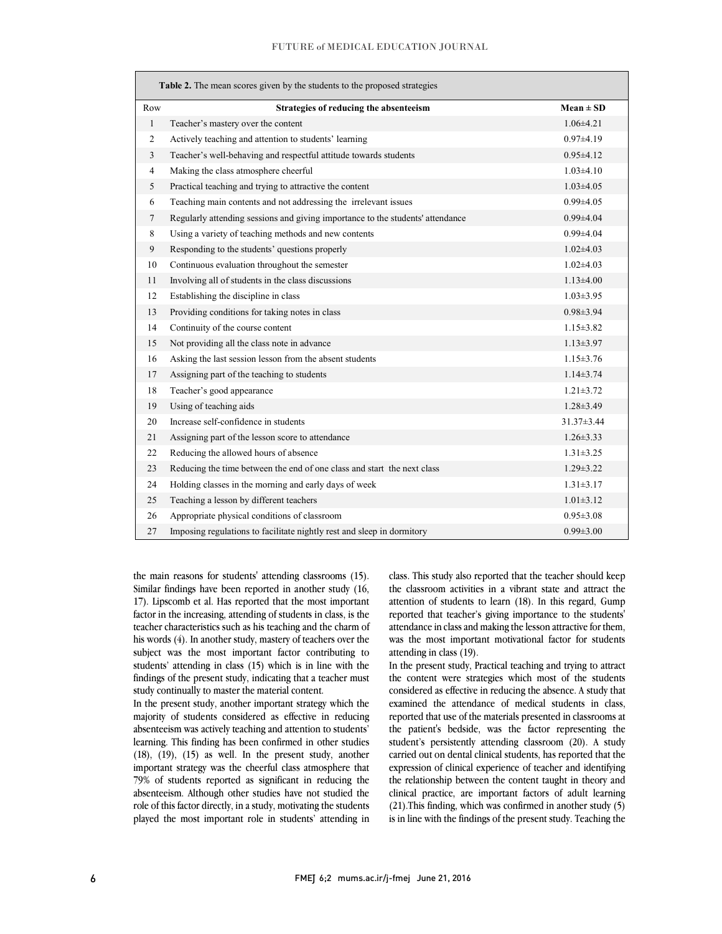#### FUTURE of MEDICAL EDUCATION JOURNAL

| Table 2. The mean scores given by the students to the proposed strategies |                                                                                |                  |  |  |  |  |
|---------------------------------------------------------------------------|--------------------------------------------------------------------------------|------------------|--|--|--|--|
| Row                                                                       | Strategies of reducing the absenteeism                                         | $Mean \pm SD$    |  |  |  |  |
| $\mathbf{1}$                                                              | Teacher's mastery over the content                                             | $1.06{\pm}4.21$  |  |  |  |  |
| $\overline{2}$                                                            | Actively teaching and attention to students' learning                          | $0.97{\pm}4.19$  |  |  |  |  |
| 3                                                                         | Teacher's well-behaving and respectful attitude towards students               | $0.95 \pm 4.12$  |  |  |  |  |
| $\overline{4}$                                                            | Making the class atmosphere cheerful                                           | $1.03\pm4.10$    |  |  |  |  |
| 5                                                                         | Practical teaching and trying to attractive the content                        | $1.03 \pm 4.05$  |  |  |  |  |
| 6                                                                         | Teaching main contents and not addressing the irrelevant issues                | $0.99{\pm}4.05$  |  |  |  |  |
| 7                                                                         | Regularly attending sessions and giving importance to the students' attendance | $0.99{\pm}4.04$  |  |  |  |  |
| 8                                                                         | Using a variety of teaching methods and new contents                           | $0.99{\pm}4.04$  |  |  |  |  |
| 9                                                                         | Responding to the students' questions properly                                 | $1.02{\pm}4.03$  |  |  |  |  |
| 10                                                                        | Continuous evaluation throughout the semester                                  | $1.02{\pm}4.03$  |  |  |  |  |
| 11                                                                        | Involving all of students in the class discussions                             | $1.13\pm4.00$    |  |  |  |  |
| 12                                                                        | Establishing the discipline in class                                           | $1.03 \pm 3.95$  |  |  |  |  |
| 13                                                                        | Providing conditions for taking notes in class                                 | $0.98 \pm 3.94$  |  |  |  |  |
| 14                                                                        | Continuity of the course content                                               | $1.15 \pm 3.82$  |  |  |  |  |
| 15                                                                        | Not providing all the class note in advance                                    | $1.13 \pm 3.97$  |  |  |  |  |
| 16                                                                        | Asking the last session lesson from the absent students                        | $1.15 \pm 3.76$  |  |  |  |  |
| 17                                                                        | Assigning part of the teaching to students                                     | $1.14\pm3.74$    |  |  |  |  |
| 18                                                                        | Teacher's good appearance                                                      | $1.21 \pm 3.72$  |  |  |  |  |
| 19                                                                        | Using of teaching aids                                                         | $1.28 \pm 3.49$  |  |  |  |  |
| 20                                                                        | Increase self-confidence in students                                           | $31.37 \pm 3.44$ |  |  |  |  |
| 21                                                                        | Assigning part of the lesson score to attendance                               | $1.26 \pm 3.33$  |  |  |  |  |
| 22                                                                        | Reducing the allowed hours of absence                                          | $1.31 \pm 3.25$  |  |  |  |  |
| 23                                                                        | Reducing the time between the end of one class and start the next class        | $1.29 \pm 3.22$  |  |  |  |  |
| 24                                                                        | Holding classes in the morning and early days of week                          | $1.31 \pm 3.17$  |  |  |  |  |
| 25                                                                        | Teaching a lesson by different teachers                                        | $1.01\pm3.12$    |  |  |  |  |
| 26                                                                        | Appropriate physical conditions of classroom                                   | $0.95 \pm 3.08$  |  |  |  |  |
| 27                                                                        | Imposing regulations to facilitate nightly rest and sleep in dormitory         | $0.99 \pm 3.00$  |  |  |  |  |

 the main reasons for students' attending classrooms (15). Similar findings have been reported in another study (16, 17). Lipscomb et al. Has reported that the most important factor in the increasing, attending of students in class, is the his words (4). In another study, mastery of teachers over the subject was the most important factor contributing to students' attending in class (15) which is in line with the findings of the present study, indicating that a teacher must teacher characteristics such as his teaching and the charm of study continually to master the material content.

In the present study, another important strategy which the majority of students considered as effective in reducing absenteeism was actively teaching and attention to students' (18), (19), (15) as well. In the present study, another important strategy was the cheerful class atmosphere that 79% of students reported as significant in reducing the absenteeism. Although other studies have not studied the played the most important role in students' attending in learning. This finding has been confirmed in other studies role of this factor directly, in a study, motivating the students

 class. This study also reported that the teacher should keep the classroom activities in a vibrant state and attract the attention of students to learn (18). In this regard, Gump reported that teacher's giving importance to the students' was the most important motivational factor for students attendance in class and making the lesson attractive for them, attending in class (19).

 In the present study, Practical teaching and trying to attract the content were strategies which most of the students examined the attendance of medical students in class, reported that use of the materials presented in classrooms at the patient's bedside, was the factor representing the students persistently attending classroom (20). A study<br>carried out on dental clinical students, has reported that the expression of clinical experience of teacher and identifying the relationship between the content taught in theory and clinical practice, are important factors of adult learning  $(21)$ . This initially, which was committed in another study  $(3)$  is in line with the findings of the present study. Teaching the considered as effective in reducing the absence. A study that student's persistently attending classroom (20). A study (21).This finding, which was confirmed in another study (5)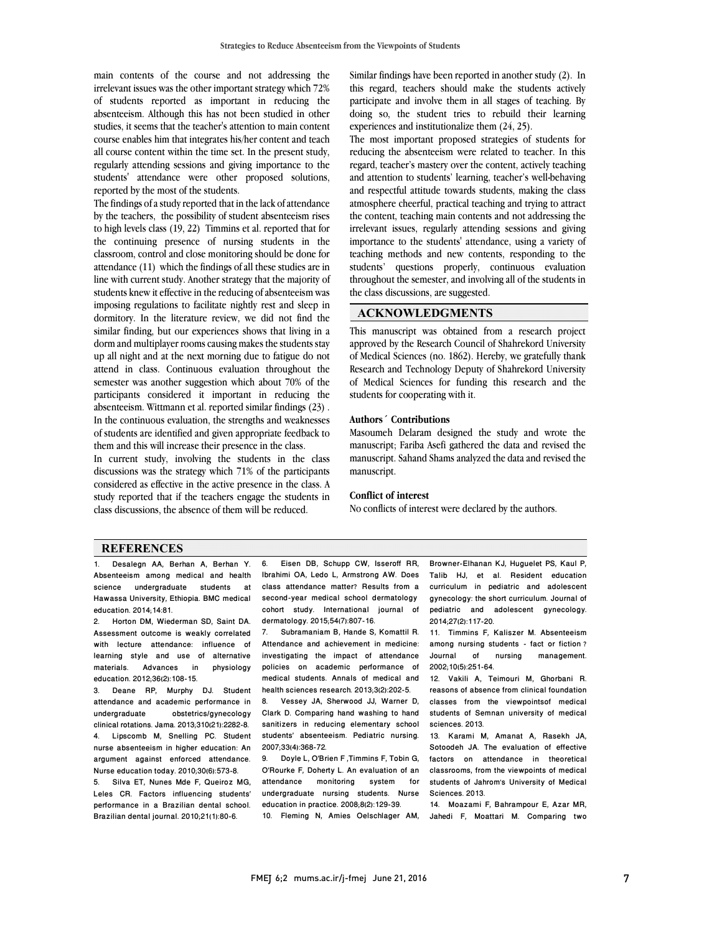main contents of the course and not addressing the irrelevant issues was the other important strategy which 72% of students reported as important in reducing the absenteeism. Although this has not been studied in other course enables him that integrates his/her content and teach all course content within the time set. In the present study, regularly attending sessions and giving importance to the students' attendance were other proposed solutions, studies, it seems that the teacher's attention to main content reported by the most of the students.

 The findings of a study reported that in the lack of attendance by the teachers, the possibility of student absenteeism rises to high levels class (19, 22) Timmins et al. reported that for classroom, control and close monitoring should be done for attendance  $(11)$  which the findings of all these studies are in line with current study. Another strategy that the majority of students knew it effective in the reducing of absenteeism was dormitory. In the literature review, we did not find the similar finding, but our experiences shows that living in a dorm and multiplayer rooms causing makes the students stay up all night and at the next morning due to fatigue do not semester was another suggestion which about 70% of the participants considered it important in reducing the absenteeism. Wittmann et al. reported similar findings (23) . In the continuous evaluation, the strengths and weaknesses of students are identified and given appropriate feedback to<br>them and this will increase their presence in the class the continuing presence of nursing students in the imposing regulations to facilitate nightly rest and sleep in attend in class. Continuous evaluation throughout the them and this will increase their presence in the class.

 In current study, involving the students in the class discussions was the strategy which 71% of the participants considered as effective in the active presence in the class. A study reported that if the teachers engage the students in class discussions, the absence of them will be reduced. class discussions, the absence of them will be reduced.

 Similar findings have been reported in another study (2). In this regard, teachers should make the students actively participate and involve them in all stages of teaching. By doing so, the student tries to rebuild their learning experiences and institutionalize them (24, 25).

The most important proposed strategies of students for reducing the absenteeism were related to teacher. In this regard, teacher's mastery over the content, actively teaching and attention to students fearning, teacher's weil-behaving<br>and respectful attitude towards students, making the class atmosphere cheerful, practical teaching and trying to attract the content, teaching main contents and not addressing the irrelevant issues, regularly attending sessions and giving miportance to the students attendance, using a variety of<br>teaching methods and new contents, responding to the students' questions properly, continuous evaluation throughout the semester, and involving all of the students in and attention to students' learning, teacher's well-behaving importance to the students' attendance, using a variety of the class discussions, are suggested.

#### **ACKNOWLEDGMENTS**

 This manuscript was obtained from a research project approved by the Research Council of Shahrekord University of Medical Sciences (no. 1862). Hereby, we gratefully thank of Medical Sciences for funding this research and the Research and Technology Deputy of Shahrekord University students for cooperating with it.

#### **Authors´ Contributions**

 Masoumeh Delaram designed the study and wrote the manuscript; Fariba Asefi gathered the data and revised the manuscript. Sahand Shams analyzed the data and revised the manuscript.

#### **Conflict of interest**

No conflicts of interest were declared by the authors.

#### **REFERENCES**

1. Desalegn AA, Berhan A, Berhan Y. Absenteeism among medical and health science undergraduate students at Hawassa University, Ethiopia. BMC medical education. 2014;14:81.

2. Horton DM, Wiederman SD, Saint DA. Assessment outcome is weakly correlated with lecture attendance: influence of learning style and use of alternative materials. Advances in physiology education. 2012;36(2):108-15.

3. Deane RP, Murphy DJ. Student attendance and academic performance in undergraduate obstetrics/gynecology clinical rotations. Jama. 2013;310(21):2282-8. 4. Lipscomb M, Snelling PC. Student nurse absenteeism in higher education: An argument against enforced attendance. Nurse education today. 2010;30(6):573-8.

5. Silva ET, Nunes Mde F, Queiroz MG, Leles CR. Factors influencing students' performance in a Brazilian dental school. Brazilian dental journal. 2010;21(1):80-6.

 Ibrahimi OA, Ledo L, Armstrong AW. Does class attendance matter? Results from a second-year medical school dermatology dermatology. 2015;54(7):807-16. 6. Eisen DB, Schupp CW, Isseroff RR, cohort study. International journal of

 $\overline{a}$ 

 7. Subramaniam B, Hande S, Komattil R. investigating the impact of attendance policies on academic performance of medical students. Annals of medical and<br>health esispess researsh 2013.2012.2025 Attendance and achievement in medicine: health sciences research. 2013;3(2):202-5.

 8. Vessey JA, Sherwood JJ, Warner D, Clark D. Comparing hand washing to hand students' absenteeism. Pediatric nursing. 2007;33(4):368-72. sanitizers in reducing elementary school

 O'Rourke F, Doherty L. An evaluation of an attendance monitoring system for undergraduate nursing students. Nurse 10. Fleming N, Amies Oelschlager AM, 9. Doyle L, O'Brien F ,Timmins F, Tobin G, education in practice. 2008;8(2):129-39.

 Talib HJ, et al. Resident education curriculum in pediatric and adolescent gynecology: the short curriculum. Journal of<br>pediatric and adolescent gynecology. Í Browner-Elhanan KJ, Huguelet PS, Kaul P, gynecology: the short curriculum. Journal of 2014;27(2):117-20.

 $\overline{a}$ 

 11. Timmins F, Kaliszer M. Absenteeism among nursing students - ract or netion :<br>Journal of nursing management. among nursing students - fact or fiction?<br>Journal of nursing management 2002;10(5):251-64.

IZ. Vakill A, Telmouri M, Ghorbani H.<br>reasons of absence from clinical foundation classes from the viewpointsof medical students of Semnan university of medical 12. Vakili A, Teimouri M, Ghorbani R. sciences. 2013.

 13. Karami M, Amanat A, Rasekh JA, Sotoodeh JA. The evaluation of effective ractors on attendance in theoretical<br>classrooms, from the viewpoints of medical students of Jahrom's University of Medical factors on attendance in theoretical Sciences. 2013.

Sciences. 2013.<br>14. Moazami F, Bahrampour E, Azar MR, Jahedi F, Moattari M. Comparing two